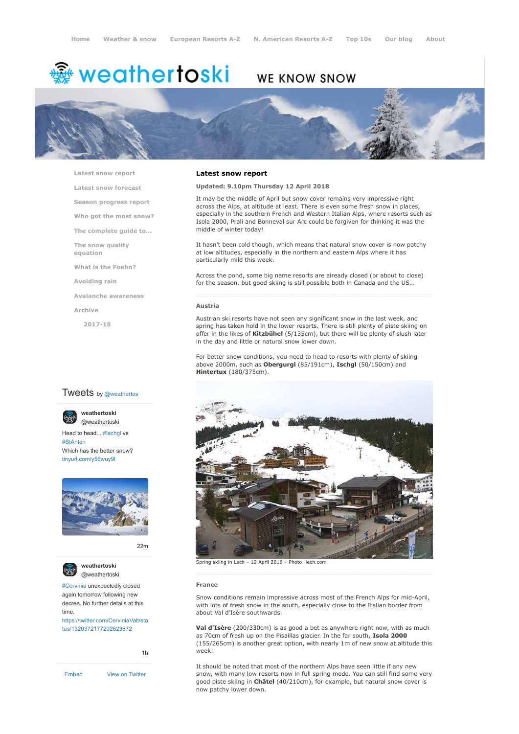# ∰ weathertoski

# WE KNOW SNOW



**[Latest snow report](https://www.weathertoski.co.uk/weather-snow/latest-snow-report/)**

**[Latest snow forecast](https://www.weathertoski.co.uk/weather-snow/latest-snow-forecast/)**

**[Season progress report](https://www.weathertoski.co.uk/weather-snow/season-progress-report/)**

**[Who got the most snow?](https://www.weathertoski.co.uk/weather-snow/who-got-the-most-snow/)**

**[The complete guide to...](https://www.weathertoski.co.uk/weather-snow/the-complete-guide-to/)**

**[The snow quality](https://www.weathertoski.co.uk/weather-snow/the-snow-quality-equation/)**

**[What is the Foehn?](https://www.weathertoski.co.uk/weather-snow/what-is-the-foehn/)**

**[Avoiding rain](https://www.weathertoski.co.uk/weather-snow/avoiding-rain/)**

**[Avalanche awareness](https://www.weathertoski.co.uk/weather-snow/avalanche-awareness/)**

**[Archive](https://www.weathertoski.co.uk/weather-snow/archive/)**

**equation**

**[2017-18](https://www.weathertoski.co.uk/weather-snow/archive/2017-18/)**

# **Tweets** by @weathertos

**weathertoski**



Head to head... [#Ischgl](https://twitter.com/hashtag/Ischgl?src=hash) vs [#StAnton](https://twitter.com/hashtag/StAnton?src=hash) Which has the better snow? [tinyurl.com/y56wuy9l](https://t.co/AeKkyB0N9S)



[22m](https://twitter.com/weathertoski/status/1320387692862050304)



**weathertoski** [@weathertoski](https://twitter.com/weathertoski)

[#Cervinia](https://twitter.com/hashtag/Cervinia?src=hash) unexpectedly closed again tomorrow following new decree. No further details at this time.

[https://twitter.com/CerviniaValt/sta](https://twitter.com/CerviniaValt/status/1320372177292623872) tus/1320372177292623872

[1h](https://twitter.com/weathertoski/status/1320376647305093126)

# **Latest snow report**

**Updated: 9.10pm Thursday 12 April 2018**

It may be the middle of April but snow cover remains very impressive right across the Alps, at altitude at least. There is even some fresh snow in places, especially in the southern French and Western Italian Alps, where resorts such as Isola 2000, Prali and Bonneval sur Arc could be forgiven for thinking it was the middle of winter today!

It hasn't been cold though, which means that natural snow cover is now patchy at low altitudes, especially in the northern and eastern Alps where it has particularly mild this week.

Across the pond, some big name resorts are already closed (or about to close) for the season, but good skiing is still possible both in Canada and the US…

### **Austria**

Austrian ski resorts have not seen any significant snow in the last week, and spring has taken hold in the lower resorts. There is still plenty of piste skiing on offer in the likes of **Kitzbühel** (5/135cm), but there will be plenty of slush later in the day and little or natural snow lower down.

For better snow conditions, you need to head to resorts with plenty of skiing above 2000m, such as **Obergurgl** (85/191cm), **Ischgl** (50/150cm) and **Hintertux** (180/375cm).



Spring skiing in Lech – 12 April 2018 – Photo: lech.com

## **France**

Snow conditions remain impressive across most of the French Alps for mid-April, with lots of fresh snow in the south, especially close to the Italian border from about Val d'Isère southwards.

**Val d'Isère** (200/330cm) is as good a bet as anywhere right now, with as much as 70cm of fresh up on the Pisaillas glacier. In the far south, **Isola 2000** (155/265cm) is another great option, with nearly 1m of new snow at altitude this week!

It should be noted that most of the northern Alps have seen little if any new snow, with many low resorts now in full spring mode. You can still find some very good piste skiing in **Châtel** (40/210cm), for example, but natural snow cover is now patchy lower down.

[Embed](https://publish.twitter.com/?url=https%3A%2F%2Ftwitter.com%2Fweathertoski) [View on Twitter](https://twitter.com/weathertoski)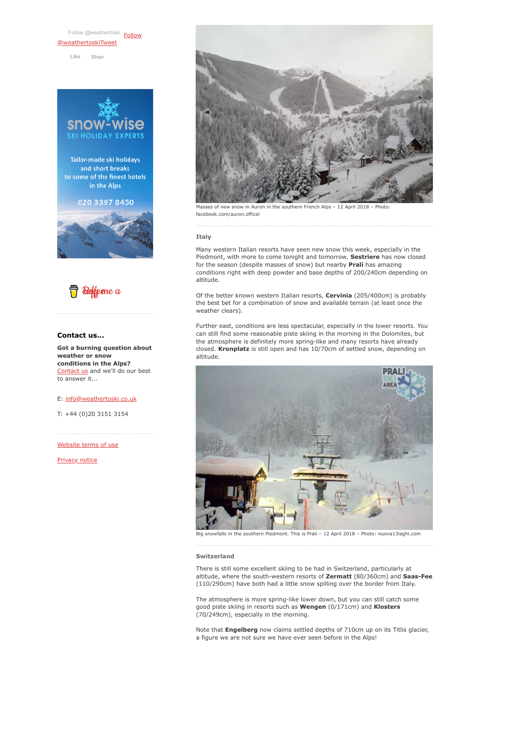[Follow @weathertoski](https://twitter.com/intent/follow?original_referer=https%3A%2F%2Fwww.weathertoski.co.uk%2F&ref_src=twsrc%5Etfw®ion=follow_link&screen_name=weathertoski&tw_p=followbutton) Follow [@weathertoskiTweet](https://twitter.com/weathertoski?ref_src=twsrc%5Etfw) **Like [Shar](https://www.facebook.com/sharer/sharer.php?u=https%3A%2F%2Fwww.weathertoski.co.uk%2F&display=popup&ref=plugin&src=like&kid_directed_site=0)e**







# **Contact us...**

**Got a burning question about weather or snow conditions in the Alps?** [Contact us](https://www.weathertoski.co.uk/about-1/contact-us/) and we'll do our best to answer it...

E: [info@weathertoski.co.uk](mailto:fraser@weathertoski.co.uk)

T: +44 (0)20 3151 3154

[Website terms of use](https://www.weathertoski.co.uk/about-1/website-terms-of-use/)

[Privacy notice](https://www.weathertoski.co.uk/about-1/privacy-notice/)



Masses of new snow in Auron in the southern French Alps – 12 April 2018 – Photo: facebook.com/auron.officel

# **Italy**

Many western Italian resorts have seen new snow this week, especially in the Piedmont, with more to come tonight and tomorrow. **Sestriere** has now closed for the season (despite masses of snow) but nearby **Prali** has amazing conditions right with deep powder and base depths of 200/240cm depending on altitude.

Of the better known western Italian resorts, **Cervinia** (205/400cm) is probably the best bet for a combination of snow and available terrain (at least once the weather clears).

Further east, conditions are less spectacular, especially in the lower resorts. You can still find some reasonable piste skiing in the morning in the Dolomites, but the atmosphere is definitely more spring-like and many resorts have already closed. **Kronplatz** is still open and has 10/70cm of settled snow, depending on altitude.



Big snowfalls in the southern Piedmont. This is Prali – 12 April 2018 – Photo: nuova13laghi.com

### **Switzerland**

There is still some excellent skiing to be had in Switzerland, particularly at altitude, where the south-western resorts of **Zermatt** (80/360cm) and **Saas-Fee** (110/290cm) have both had a little snow spilling over the border from Italy.

The atmosphere is more spring-like lower down, but you can still catch some good piste skiing in resorts such as **Wengen** (0/171cm) and **Klosters** (70/249cm), especially in the morning.

Note that **Engelberg** now claims settled depths of 710cm up on its Titlis glacier, a figure we are not sure we have ever seen before in the Alps!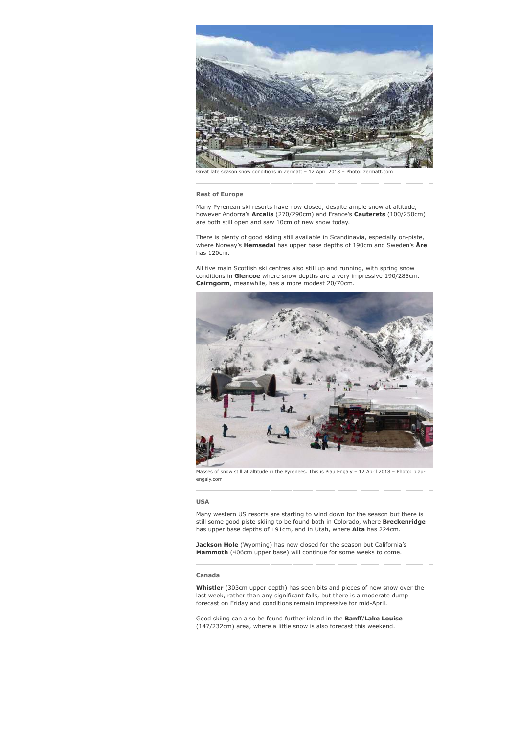

late season snow conditions in Zermatt - 12 April 2018 - Photo: zermatt.com

#### **Rest of Europe**

Many Pyrenean ski resorts have now closed, despite ample snow at altitude, however Andorra's **Arcalis** (270/290cm) and France's **Cauterets** (100/250cm) are both still open and saw 10cm of new snow today.

There is plenty of good skiing still available in Scandinavia, especially on-piste, where Norway's **Hemsedal** has upper base depths of 190cm and Sweden's **Åre** has 120cm.

All five main Scottish ski centres also still up and running, with spring snow conditions in **Glencoe** where snow depths are a very impressive 190/285cm. **Cairngorm**, meanwhile, has a more modest 20/70cm.



Masses of snow still at altitude in the Pyrenees. This is Piau Engaly – 12 April 2018 – Photo: piauengaly.com

# **USA**

Many western US resorts are starting to wind down for the season but there is still some good piste skiing to be found both in Colorado, where **Breckenridge** has upper base depths of 191cm, and in Utah, where **Alta** has 224cm.

**Jackson Hole** (Wyoming) has now closed for the season but California's **Mammoth** (406cm upper base) will continue for some weeks to come.

### **Canada**

**Whistler** (303cm upper depth) has seen bits and pieces of new snow over the last week, rather than any significant falls, but there is a moderate dump forecast on Friday and conditions remain impressive for mid-April.

Good skiing can also be found further inland in the **Banff**/**Lake Louise** (147/232cm) area, where a little snow is also forecast this weekend.